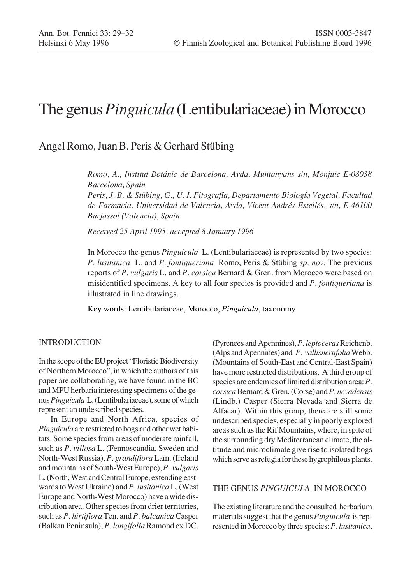# The genus *Pinguicula* (Lentibulariaceae) in Morocco

## Angel Romo, Juan B. Peris & Gerhard Stübing

*Romo, A., Institut Botánic de Barcelona, Avda, Muntanyans s/n, Monjuïc E-08038 Barcelona, Spain*

*Peris, J. B. & Stübing, G., U. I. Fitografía, Departamento Biología Vegetal, Facultad de Farmacia, Universidad de Valencia, Avda, Vicent Andrés Estellés, s/n, E-46100 Burjassot (Valencia), Spain*

*Received 25 April 1995, accepted 8 January 1996*

In Morocco the genus *Pinguicula* L. (Lentibulariaceae) is represented by two species: *P. lusitanica* L. and *P. fontiqueriana* Romo, Peris & Stübing *sp. nov.* The previous reports of *P. vulgaris* L. and *P. corsica* Bernard & Gren. from Morocco were based on misidentified specimens. A key to all four species is provided and *P. fontiqueriana* is illustrated in line drawings.

Key words: Lentibulariaceae, Morocco, *Pinguicula*, taxonomy

### INTRODUCTION

In the scope of the EU project "Floristic Biodiversity of Northern Morocco", in which the authors of this paper are collaborating, we have found in the BC and MPU herbaria interesting specimens of the genus *Pinguicula* L. (Lentibulariaceae), some of which represent an undescribed species.

In Europe and North Africa, species of *Pinguicula* are restricted to bogs and other wet habitats. Some species from areas of moderate rainfall, such as *P. villosa* L. (Fennoscandia, Sweden and North-West Russia), *P. grandiflora* Lam. (Ireland and mountains of South-West Europe), *P. vulgaris* L. (North, West and Central Europe, extending eastwards to West Ukraine) and *P. lusitanica* L. (West Europe and North-West Morocco) have a wide distribution area. Other species from drier territories, such as *P. hirtiflora* Ten. and *P. balcanica* Casper (Balkan Peninsula), *P. longifolia* Ramond ex DC.

(Pyrenees and Apennines), *P. leptoceras* Reichenb. (Alps and Apennines) and *P. vallisneriifolia* Webb. (Mountains of South-East and Central-East Spain) have more restricted distributions. A third group of species are endemics of limited distribution area: *P. corsica* Bernard & Gren. (Corse) and *P. nevadensis* (Lindb.) Casper (Sierra Nevada and Sierra de Alfacar). Within this group, there are still some undescribed species, especially in poorly explored areas such as the Rif Mountains, where, in spite of the surrounding dry Mediterranean climate, the altitude and microclimate give rise to isolated bogs which serve as refugia for these hygrophilous plants.

### THE GENUS *PINGUICULA* IN MOROCCO

The existing literature and the consulted herbarium materials suggest that the genus *Pinguicula* is represented in Morocco by three species: *P. lusitanica*,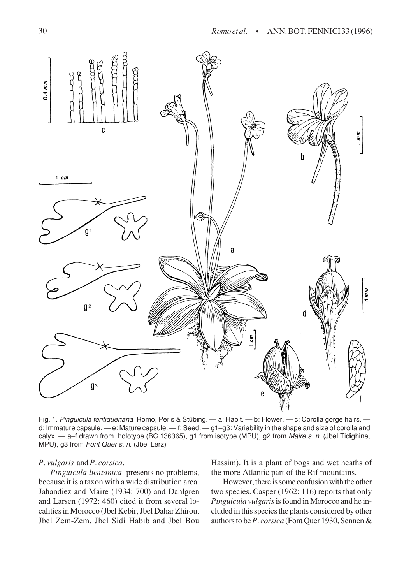

Fig. 1. Pinguicula fontiqueriana Romo, Peris & Stübing. — a: Habit. — b: Flower. — c: Corolla gorge hairs. d: Immature capsule. — e: Mature capsule. — f: Seed. — g1–g3: Variability in the shape and size of corolla and calyx. — a–f drawn from holotype (BC 136365), g1 from isotype (MPU), g2 from Maire s. n. (Jbel Tidighine, MPU), g3 from Font Quer s. n. (Jbel Lerz)

#### *P. vulgaris* and *P. corsica*.

*Pinguicula lusitanica* presents no problems, because it is a taxon with a wide distribution area. Jahandiez and Maire (1934: 700) and Dahlgren and Larsen (1972: 460) cited it from several localities in Morocco (Jbel Kebir, Jbel Dahar Zhirou, Jbel Zem-Zem, Jbel Sidi Habib and Jbel Bou Hassim). It is a plant of bogs and wet heaths of the more Atlantic part of the Rif mountains.

However, there is some confusion with the other two species. Casper (1962: 116) reports that only *Pinguicula vulgaris* is found in Morocco and he included in this species the plants considered by other authors to be *P. corsica* (Font Quer 1930, Sennen &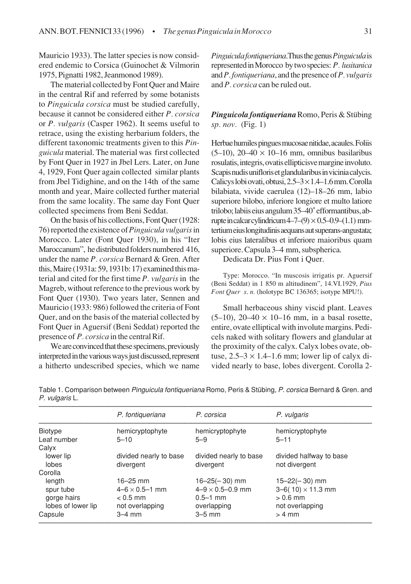Mauricio 1933). The latter species is now considered endemic to Corsica (Guinochet & Vilmorin 1975, Pignatti 1982, Jeanmonod 1989).

The material collected by Font Quer and Maire in the central Rif and referred by some botanists to *Pinguicula corsica* must be studied carefully, because it cannot be considered either *P. corsica* or *P. vulgaris* (Casper 1962). It seems useful to retrace, using the existing herbarium folders, the different taxonomic treatments given to this *Pinguicula* material. The material was first collected by Font Quer in 1927 in Jbel Lers. Later, on June 4, 1929, Font Quer again collected similar plants from Jbel Tidighine, and on the 14th of the same month and year, Maire collected further material from the same locality. The same day Font Quer collected specimens from Beni Seddat.

On the basis of his collections, Font Quer (1928: 76) reported the existence of *Pinguicula vulgaris* in Morocco. Later (Font Quer 1930), in his "Iter Maroccanum", he distributed folders numbered 416, under the name *P. corsica* Bernard & Gren. After this, Maire (1931a: 59, 1931b: 17) examined this material and cited for the first time *P. vulgaris* in the Magreb, without reference to the previous work by Font Quer (1930). Two years later, Sennen and Mauricio (1933: 986) followed the criteria of Font Quer, and on the basis of the material collected by Font Quer in Aguersif (Beni Seddat) reported the presence of *P. corsica* in the central Rif.

We are convinced that these specimens, previously interpreted in the various ways just discussed, represent a hitherto undescribed species, which we name *Pinguicula fontiqueriana*.Thus the genus *Pinguicula* is represented in Morocco by two species: *P. lusitanica* and *P. fontiqueriana*, and the presence of *P. vulgaris* and *P. corsica* can be ruled out.

*Pinguicola fontiqueriana* Romo, Peris & Stübing *sp. nov.* (Fig. 1)

Herbae humiles pingues mucosae nitidae, acaules. Foliis  $(5-10)$ ,  $20-40 \times 10-16$  mm, omnibus basilaribus rosulatis, integris, ovatis ellipticisve margine involuto. Scapis nudis unifloris et glandularibus in vicinia calycis. Calicys lobi ovati, obtusi,  $2.5 - 3 \times 1.4 - 1.6$  mm. Corolla bilabiata, vivide caerulea (12)–18–26 mm, labio superiore bilobo, inferiore longiore et multo latiore trilobo; labiis eius angulum 35–40˚efformantibus, abrupte in calcar cylindricum  $4-7-(9) \times 0.5-0.9-(1.1)$  mmtertium eius longitudinis aequans aut superans-angustata; lobis eius lateralibus et inferiore maioribus quam superiore. Capsula 3–4 mm, subspherica.

Dedicata Dr. Pius Font i Quer.

Type: Morocco. "In muscosis irrigatis pr. Aguersif (Beni Seddat) in 1 850 m altitudinem", 14.VI.1929, *Pius Font Quer s*. *n.* (holotype BC 136365; isotype MPU!).

Small herbaceous shiny viscid plant. Leaves  $(5-10)$ ,  $20-40 \times 10-16$  mm, in a basal rosette, entire, ovate elliptical with involute margins. Pedicels naked with solitary flowers and glandular at the proximity of the calyx. Calyx lobes ovate, obtuse,  $2.5-3 \times 1.4-1.6$  mm; lower lip of calyx divided nearly to base, lobes divergent. Corolla 2-

|                    | P. fontiqueriana          | P. corsica                  | P. vulgaris              |
|--------------------|---------------------------|-----------------------------|--------------------------|
| <b>Biotype</b>     | hemicryptophyte           | hemicryptophyte             | hemicryptophyte          |
| Leaf number        | $5 - 10$                  | $5 - 9$                     | $5 - 11$                 |
| Calyx              |                           |                             |                          |
| lower lip          | divided nearly to base    | divided nearly to base      | divided halfway to base  |
| lobes              | divergent                 | divergent                   | not divergent            |
| Corolla            |                           |                             |                          |
| length             | $16 - 25$ mm              | $16 - 25(-30)$ mm           | $15 - 22(-30)$ mm        |
| spur tube          | $4 - 6 \times 0.5 - 1$ mm | $4 - 9 \times 0.5 - 0.9$ mm | $3-6(10) \times 11.3$ mm |
| gorge hairs        | $< 0.5$ mm                | $0.5 - 1$ mm                | $> 0.6$ mm               |
| lobes of lower lip | not overlapping           | overlapping                 | not overlapping          |
| Capsule            | $3-4$ mm                  | $3-5$ mm                    | $> 4$ mm                 |

Table 1. Comparison between Pinguicula fontiqueriana Romo, Peris & Stübing, P. corsica Bernard & Gren. and P. vulgaris L.